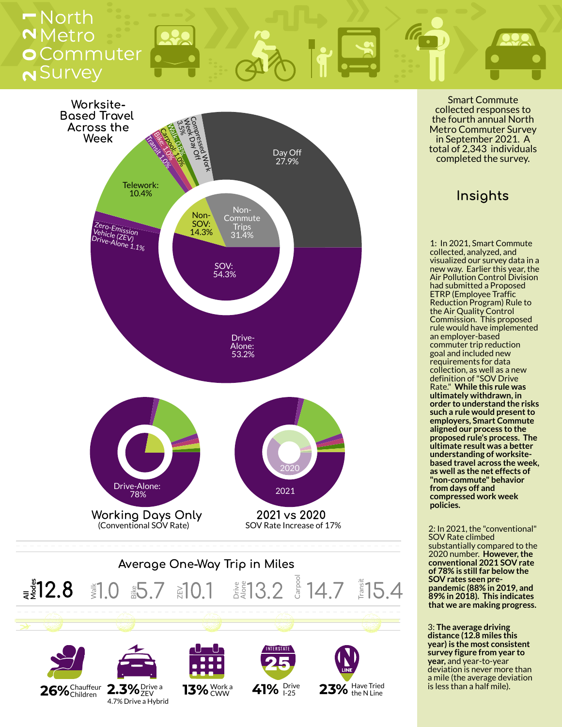# N<sup>Survey</sup> 0 Commuter Netro  $-$  North

25

 $23%$  Have Tried



 $26\%$ Chauffeur 2.3% Drive a  $13\%$  CWW 41% Drive Drive a ZEV 4.7% Drive a Hybrid

 $13\%$  CWW

Smart Commute collected responses to the fourth annual North Metro Commuter Survey in September 2021. A total of 2,343 individuals completed the survey.

## Insights

1: In 2021, Smart Commute collected, analyzed, and visualized our survey data in a new way. Earlier this year, the Air Pollution Control Division had submitted a Proposed ETRP (Employee Traffic Reduction Program) Rule to the Air Quality Control Commission. This proposed rule would have implemented an employer-based commuter trip reduction goal and included new requirements for data collection, as well as a new definition of"SOV Drive Rate." **While this rule was ultimately withdrawn, in order to understand the risks such** a rule would present to **employers, Smart Commute aligned our process to the proposed rule's process. The ultimate result was a better understanding of worksitebased travel across the week, as well as the net effects of "non-commute" behavior from days off and compressed work week policies.**

2: In 2021, the "conventional" SOV Rate climbed substantially compared to the 2020 number. **However,the conventional 2021 SOV rate of 78% is still far below the SOV rates seen prepandemic (88% in 2019, and 89% in 2018). This indicates that we are making progress.**

3: **The average driving distance (12.8 miles this year) is the most consistent survey figure from year to year,** and year-to-year deviation is never more than a mile (the average deviation is less than a half mile).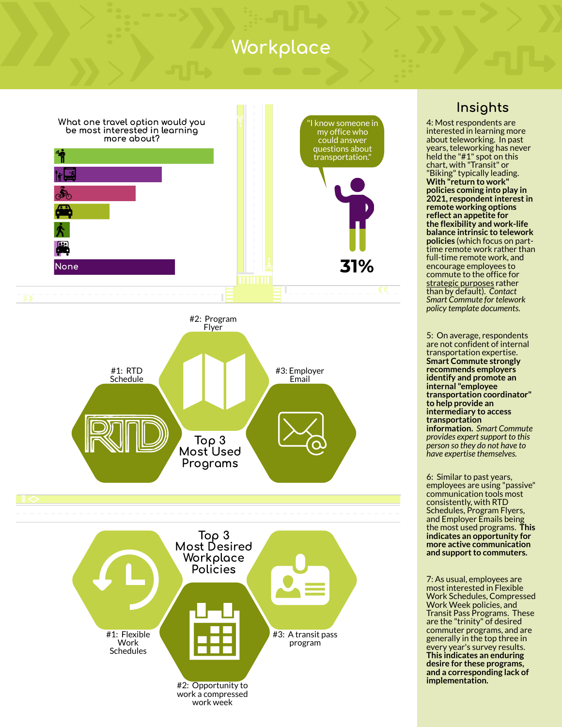# Workplace



### Insights

4: Most respondents are interested in learning more about teleworking. In past years, teleworking has never held the "#1" spot on this chart, with "Transit" or "Biking"typically leading. **With "return to work" policies coming into play in 2021, respondentinterestin remote working options reflect an appetite for the flexibility and work-life balance intrinsic to telework policies** (which focus on parttime remote work rather than full-time remote work, and encourage employees to commute to the office for strategic purposes rather than by default). *Contact Smart Commute for telework policy template documents.*

5: On average, respondents are not confident of internal transportation expertise. **Smart Commute strongly recommends employers identify and promote an internal "employee transportation coordinator" to help provide an intermediary to access transportation information.** *Smart Commute provides expert support to this person so they do not have to have expertise themselves.*

6: Similar to past years, employees are using "passive" communication tools most consistently, with RTD Schedules, Program Flyers, and Employer Emails being the most used programs. **This indicates an opportunity for more active communication and support to commuters.** 

7: As usual, employees are most interested in Flexible Work Schedules, Compressed Work Week policies, and Transit Pass Programs. These are the "trinity" of desired commuter programs, and are generally in the top three in every year's survey results. **This indicates an enduring desire for these programs, and a corresponding lack of implementation.**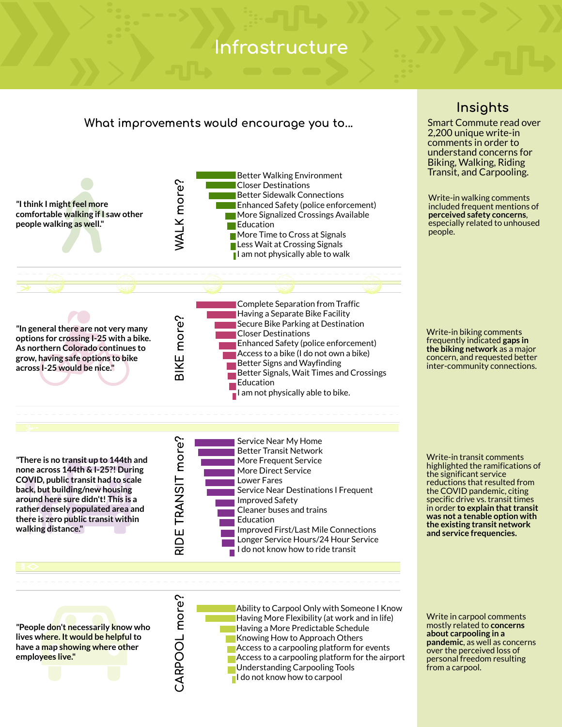## Infrastructure

### What improvements would encourage you to...



*"***People don't necessarily know who lives where. It would be helpfulto have a map showing where other employees live."**

 $\bm{\cup}$ ARPOO $\overline{\phantom{0}}$  $\mathsf E$ ore?

Ability to Carpool Only with Someone I Know Having More Flexibility (at work and in life) Having a More Predictable Schedule Knowing How to Approach Others  $\overline{\phantom{a}}$  Access to a carpooling platform for events Access to a carpooling platform for the airport Understanding Carpooling Tools I do not know how to carpool

### Insights

Smart Commute read over 2,200 unique write-in comments in order to understand concerns for Biking, Walking, Riding Transit, and Carpooling.

Write-in walking comments included frequent mentions of **perceived safety concerns**, especially related to unhoused people.

Write-in biking comments frequently indicated **gaps in the biking network** as a major concern, and requested better inter-community connections.

Write-in transit comments highlighted the ramifications of the significant service reductions that resulted from the COVID pandemic, citing specific drive vs. transit times **in order to explain that transit was not a tenable option with the existing transit network and service frequencies.**

Write in carpool comments mostly related to **concerns about carpooling in a pandemic**, as well as concerns over the perceived loss of personal freedom resulting from a carpool.